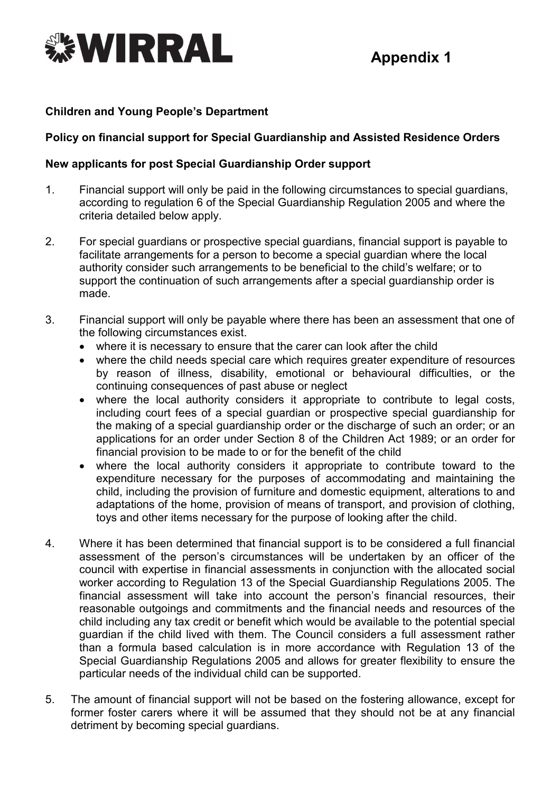

#### **Children and Young People's Department**

## **Policy on financial support for Special Guardianship and Assisted Residence Orders**

#### **New applicants for post Special Guardianship Order support**

- 1. Financial support will only be paid in the following circumstances to special guardians, according to regulation 6 of the Special Guardianship Regulation 2005 and where the criteria detailed below apply.
- 2. For special guardians or prospective special guardians, financial support is payable to facilitate arrangements for a person to become a special guardian where the local authority consider such arrangements to be beneficial to the child's welfare; or to support the continuation of such arrangements after a special guardianship order is made.
- 3. Financial support will only be payable where there has been an assessment that one of the following circumstances exist.
	- where it is necessary to ensure that the carer can look after the child
	- where the child needs special care which requires greater expenditure of resources by reason of illness, disability, emotional or behavioural difficulties, or the continuing consequences of past abuse or neglect
	- where the local authority considers it appropriate to contribute to legal costs, including court fees of a special guardian or prospective special guardianship for the making of a special guardianship order or the discharge of such an order; or an applications for an order under Section 8 of the Children Act 1989; or an order for financial provision to be made to or for the benefit of the child
	- where the local authority considers it appropriate to contribute toward to the expenditure necessary for the purposes of accommodating and maintaining the child, including the provision of furniture and domestic equipment, alterations to and adaptations of the home, provision of means of transport, and provision of clothing, toys and other items necessary for the purpose of looking after the child.
- 4. Where it has been determined that financial support is to be considered a full financial assessment of the person's circumstances will be undertaken by an officer of the council with expertise in financial assessments in conjunction with the allocated social worker according to Regulation 13 of the Special Guardianship Regulations 2005. The financial assessment will take into account the person's financial resources, their reasonable outgoings and commitments and the financial needs and resources of the child including any tax credit or benefit which would be available to the potential special guardian if the child lived with them. The Council considers a full assessment rather than a formula based calculation is in more accordance with Regulation 13 of the Special Guardianship Regulations 2005 and allows for greater flexibility to ensure the particular needs of the individual child can be supported.
- 5. The amount of financial support will not be based on the fostering allowance, except for former foster carers where it will be assumed that they should not be at any financial detriment by becoming special guardians.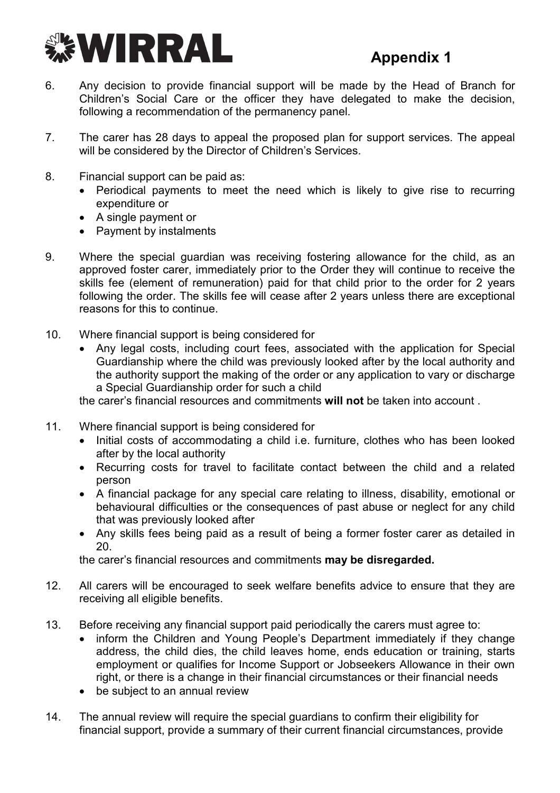

- 6. Any decision to provide financial support will be made by the Head of Branch for Children's Social Care or the officer they have delegated to make the decision, following a recommendation of the permanency panel.
- 7. The carer has 28 days to appeal the proposed plan for support services. The appeal will be considered by the Director of Children's Services.
- 8. Financial support can be paid as:
	- Periodical payments to meet the need which is likely to give rise to recurring expenditure or
	- A single payment or
	- Payment by instalments
- 9. Where the special guardian was receiving fostering allowance for the child, as an approved foster carer, immediately prior to the Order they will continue to receive the skills fee (element of remuneration) paid for that child prior to the order for 2 years following the order. The skills fee will cease after 2 years unless there are exceptional reasons for this to continue.
- 10. Where financial support is being considered for
	- Any legal costs, including court fees, associated with the application for Special Guardianship where the child was previously looked after by the local authority and the authority support the making of the order or any application to vary or discharge a Special Guardianship order for such a child

the carer's financial resources and commitments **will not** be taken into account .

- 11. Where financial support is being considered for
	- Initial costs of accommodating a child i.e. furniture, clothes who has been looked after by the local authority
	- Recurring costs for travel to facilitate contact between the child and a related person
	- A financial package for any special care relating to illness, disability, emotional or behavioural difficulties or the consequences of past abuse or neglect for any child that was previously looked after
	- Any skills fees being paid as a result of being a former foster carer as detailed in 20.

the carer's financial resources and commitments **may be disregarded.** 

- 12. All carers will be encouraged to seek welfare benefits advice to ensure that they are receiving all eligible benefits.
- 13. Before receiving any financial support paid periodically the carers must agree to:
	- inform the Children and Young People's Department immediately if they change address, the child dies, the child leaves home, ends education or training, starts employment or qualifies for Income Support or Jobseekers Allowance in their own right, or there is a change in their financial circumstances or their financial needs
	- be subject to an annual review
- 14. The annual review will require the special guardians to confirm their eligibility for financial support, provide a summary of their current financial circumstances, provide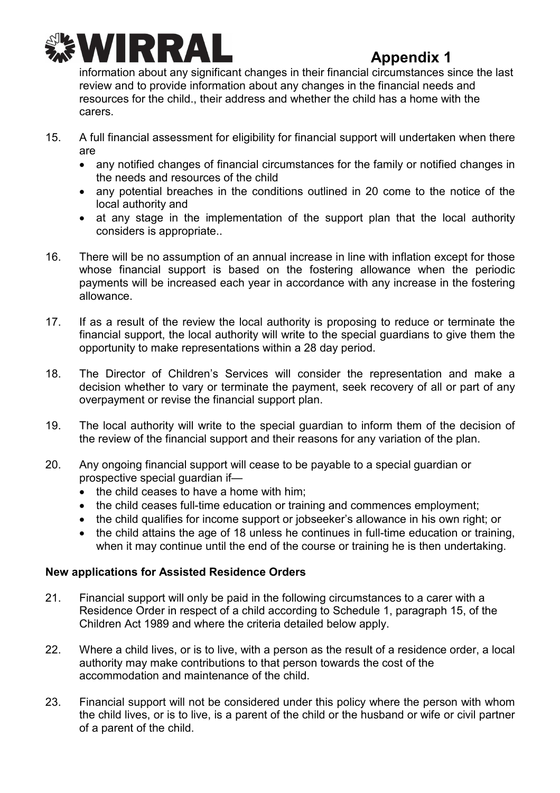

information about any significant changes in their financial circumstances since the last review and to provide information about any changes in the financial needs and resources for the child., their address and whether the child has a home with the carers.

- 15. A full financial assessment for eligibility for financial support will undertaken when there are
	- any notified changes of financial circumstances for the family or notified changes in the needs and resources of the child
	- any potential breaches in the conditions outlined in 20 come to the notice of the local authority and
	- at any stage in the implementation of the support plan that the local authority considers is appropriate..
- 16. There will be no assumption of an annual increase in line with inflation except for those whose financial support is based on the fostering allowance when the periodic payments will be increased each year in accordance with any increase in the fostering allowance.
- 17. If as a result of the review the local authority is proposing to reduce or terminate the financial support, the local authority will write to the special guardians to give them the opportunity to make representations within a 28 day period.
- 18. The Director of Children's Services will consider the representation and make a decision whether to vary or terminate the payment, seek recovery of all or part of any overpayment or revise the financial support plan.
- 19. The local authority will write to the special guardian to inform them of the decision of the review of the financial support and their reasons for any variation of the plan.
- 20. Any ongoing financial support will cease to be payable to a special guardian or prospective special guardian if—
	- the child ceases to have a home with him:
	- the child ceases full-time education or training and commences employment;
	- the child qualifies for income support or jobseeker's allowance in his own right; or
	- the child attains the age of 18 unless he continues in full-time education or training, when it may continue until the end of the course or training he is then undertaking.

## **New applications for Assisted Residence Orders**

- 21. Financial support will only be paid in the following circumstances to a carer with a Residence Order in respect of a child according to Schedule 1, paragraph 15, of the Children Act 1989 and where the criteria detailed below apply.
- 22. Where a child lives, or is to live, with a person as the result of a residence order, a local authority may make contributions to that person towards the cost of the accommodation and maintenance of the child.
- 23. Financial support will not be considered under this policy where the person with whom the child lives, or is to live, is a parent of the child or the husband or wife or civil partner of a parent of the child.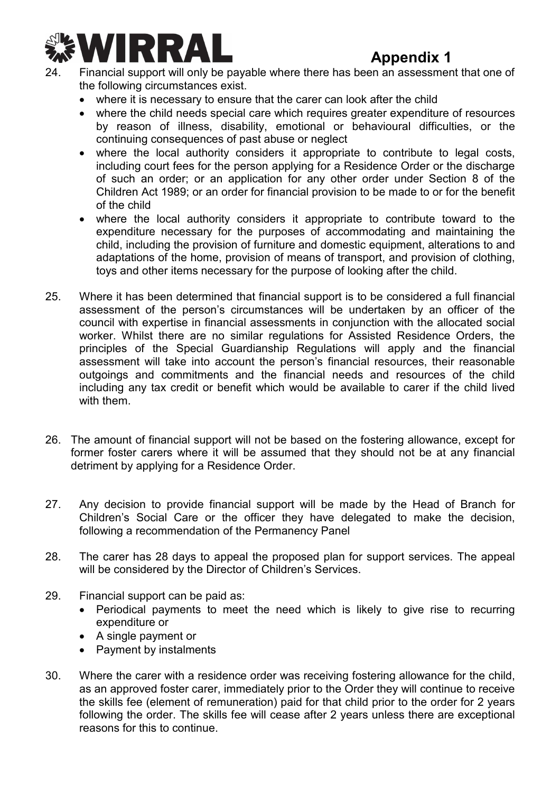

- 24. Financial support will only be payable where there has been an assessment that one of the following circumstances exist.
	- where it is necessary to ensure that the carer can look after the child
	- where the child needs special care which requires greater expenditure of resources by reason of illness, disability, emotional or behavioural difficulties, or the continuing consequences of past abuse or neglect
	- where the local authority considers it appropriate to contribute to legal costs, including court fees for the person applying for a Residence Order or the discharge of such an order; or an application for any other order under Section 8 of the Children Act 1989; or an order for financial provision to be made to or for the benefit of the child
	- where the local authority considers it appropriate to contribute toward to the expenditure necessary for the purposes of accommodating and maintaining the child, including the provision of furniture and domestic equipment, alterations to and adaptations of the home, provision of means of transport, and provision of clothing, toys and other items necessary for the purpose of looking after the child.
- 25. Where it has been determined that financial support is to be considered a full financial assessment of the person's circumstances will be undertaken by an officer of the council with expertise in financial assessments in conjunction with the allocated social worker. Whilst there are no similar regulations for Assisted Residence Orders, the principles of the Special Guardianship Regulations will apply and the financial assessment will take into account the person's financial resources, their reasonable outgoings and commitments and the financial needs and resources of the child including any tax credit or benefit which would be available to carer if the child lived with them.
- 26. The amount of financial support will not be based on the fostering allowance, except for former foster carers where it will be assumed that they should not be at any financial detriment by applying for a Residence Order.
- 27. Any decision to provide financial support will be made by the Head of Branch for Children's Social Care or the officer they have delegated to make the decision, following a recommendation of the Permanency Panel
- 28. The carer has 28 days to appeal the proposed plan for support services. The appeal will be considered by the Director of Children's Services.
- 29. Financial support can be paid as:
	- Periodical payments to meet the need which is likely to give rise to recurring expenditure or
	- A single payment or
	- Payment by instalments
- 30. Where the carer with a residence order was receiving fostering allowance for the child, as an approved foster carer, immediately prior to the Order they will continue to receive the skills fee (element of remuneration) paid for that child prior to the order for 2 years following the order. The skills fee will cease after 2 years unless there are exceptional reasons for this to continue.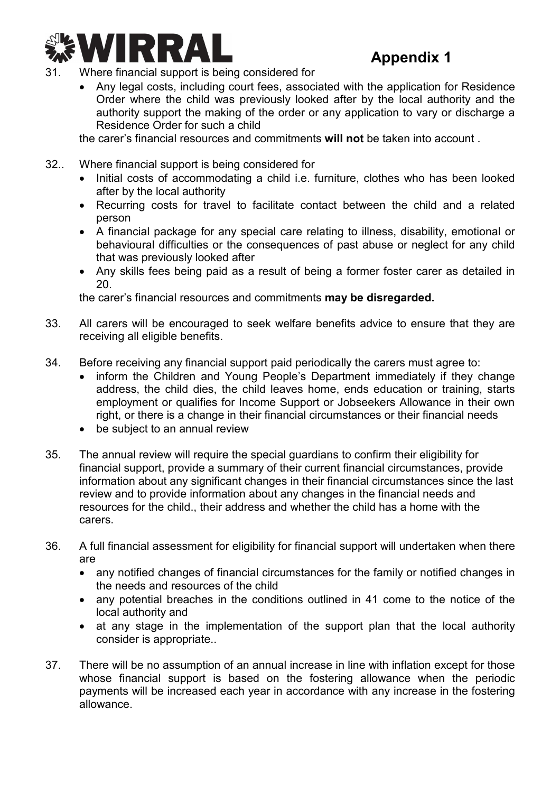

- 31. Where financial support is being considered for
	- Any legal costs, including court fees, associated with the application for Residence Order where the child was previously looked after by the local authority and the authority support the making of the order or any application to vary or discharge a Residence Order for such a child

the carer's financial resources and commitments **will not** be taken into account .

- 32.. Where financial support is being considered for
	- Initial costs of accommodating a child i.e. furniture, clothes who has been looked after by the local authority
	- Recurring costs for travel to facilitate contact between the child and a related person
	- A financial package for any special care relating to illness, disability, emotional or behavioural difficulties or the consequences of past abuse or neglect for any child that was previously looked after
	- Any skills fees being paid as a result of being a former foster carer as detailed in 20.

the carer's financial resources and commitments **may be disregarded.** 

- 33. All carers will be encouraged to seek welfare benefits advice to ensure that they are receiving all eligible benefits.
- 34. Before receiving any financial support paid periodically the carers must agree to:
	- inform the Children and Young People's Department immediately if they change address, the child dies, the child leaves home, ends education or training, starts employment or qualifies for Income Support or Jobseekers Allowance in their own right, or there is a change in their financial circumstances or their financial needs
	- be subject to an annual review
- 35. The annual review will require the special guardians to confirm their eligibility for financial support, provide a summary of their current financial circumstances, provide information about any significant changes in their financial circumstances since the last review and to provide information about any changes in the financial needs and resources for the child., their address and whether the child has a home with the carers.
- 36. A full financial assessment for eligibility for financial support will undertaken when there are
	- any notified changes of financial circumstances for the family or notified changes in the needs and resources of the child
	- any potential breaches in the conditions outlined in 41 come to the notice of the local authority and
	- at any stage in the implementation of the support plan that the local authority consider is appropriate..
- 37. There will be no assumption of an annual increase in line with inflation except for those whose financial support is based on the fostering allowance when the periodic payments will be increased each year in accordance with any increase in the fostering allowance.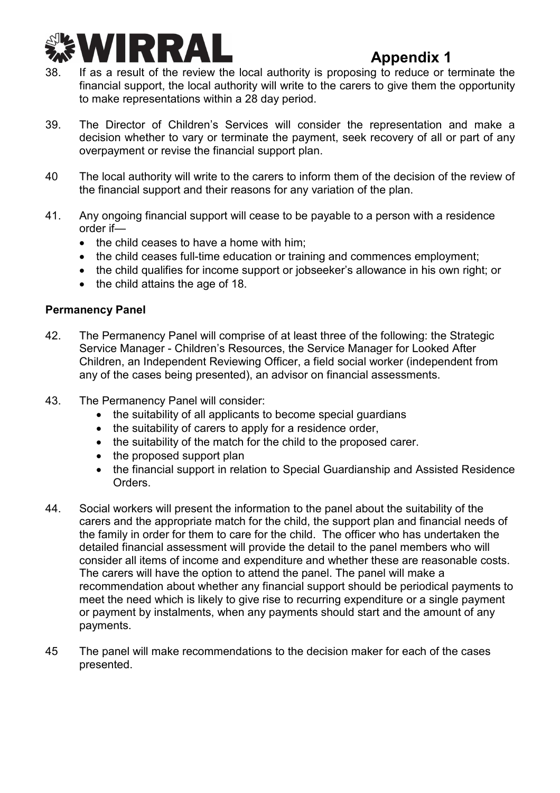

- 38. If as a result of the review the local authority is proposing to reduce or terminate the financial support, the local authority will write to the carers to give them the opportunity to make representations within a 28 day period.
- 39. The Director of Children's Services will consider the representation and make a decision whether to vary or terminate the payment, seek recovery of all or part of any overpayment or revise the financial support plan.
- 40 The local authority will write to the carers to inform them of the decision of the review of the financial support and their reasons for any variation of the plan.
- 41. Any ongoing financial support will cease to be payable to a person with a residence order if—
	- the child ceases to have a home with him;
	- the child ceases full-time education or training and commences employment;
	- the child qualifies for income support or jobseeker's allowance in his own right; or
	- the child attains the age of 18.

## **Permanency Panel**

- 42. The Permanency Panel will comprise of at least three of the following: the Strategic Service Manager - Children's Resources, the Service Manager for Looked After Children, an Independent Reviewing Officer, a field social worker (independent from any of the cases being presented), an advisor on financial assessments.
- 43. The Permanency Panel will consider:
	- the suitability of all applicants to become special guardians
	- the suitability of carers to apply for a residence order,
	- the suitability of the match for the child to the proposed carer.
	- the proposed support plan
	- the financial support in relation to Special Guardianship and Assisted Residence Orders.
- 44. Social workers will present the information to the panel about the suitability of the carers and the appropriate match for the child, the support plan and financial needs of the family in order for them to care for the child. The officer who has undertaken the detailed financial assessment will provide the detail to the panel members who will consider all items of income and expenditure and whether these are reasonable costs. The carers will have the option to attend the panel. The panel will make a recommendation about whether any financial support should be periodical payments to meet the need which is likely to give rise to recurring expenditure or a single payment or payment by instalments, when any payments should start and the amount of any payments.
- 45 The panel will make recommendations to the decision maker for each of the cases presented.